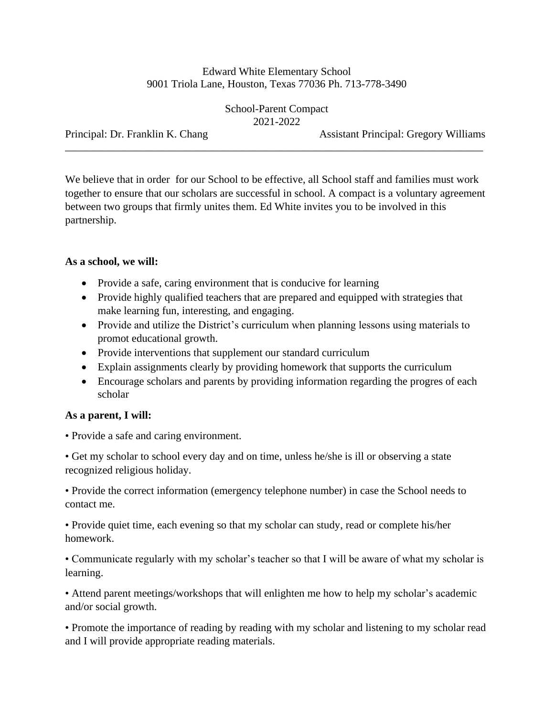## Edward White Elementary School 9001 Triola Lane, Houston, Texas 77036 Ph. 713-778-3490

School-Parent Compact 2021-2022

\_\_\_\_\_\_\_\_\_\_\_\_\_\_\_\_\_\_\_\_\_\_\_\_\_\_\_\_\_\_\_\_\_\_\_\_\_\_\_\_\_\_\_\_\_\_\_\_\_\_\_\_\_\_\_\_\_\_\_\_\_\_\_\_\_\_\_\_\_\_\_\_\_\_\_\_\_

Principal: Dr. Franklin K. Chang Assistant Principal: Gregory Williams

We believe that in order for our School to be effective, all School staff and families must work together to ensure that our scholars are successful in school. A compact is a voluntary agreement between two groups that firmly unites them. Ed White invites you to be involved in this partnership.

## **As a school, we will:**

- Provide a safe, caring environment that is conducive for learning
- Provide highly qualified teachers that are prepared and equipped with strategies that make learning fun, interesting, and engaging.
- Provide and utilize the District's curriculum when planning lessons using materials to promot educational growth.
- Provide interventions that supplement our standard curriculum
- Explain assignments clearly by providing homework that supports the curriculum
- Encourage scholars and parents by providing information regarding the progres of each scholar

## **As a parent, I will:**

• Provide a safe and caring environment.

• Get my scholar to school every day and on time, unless he/she is ill or observing a state recognized religious holiday.

• Provide the correct information (emergency telephone number) in case the School needs to contact me.

• Provide quiet time, each evening so that my scholar can study, read or complete his/her homework.

• Communicate regularly with my scholar's teacher so that I will be aware of what my scholar is learning.

• Attend parent meetings/workshops that will enlighten me how to help my scholar's academic and/or social growth.

• Promote the importance of reading by reading with my scholar and listening to my scholar read and I will provide appropriate reading materials.